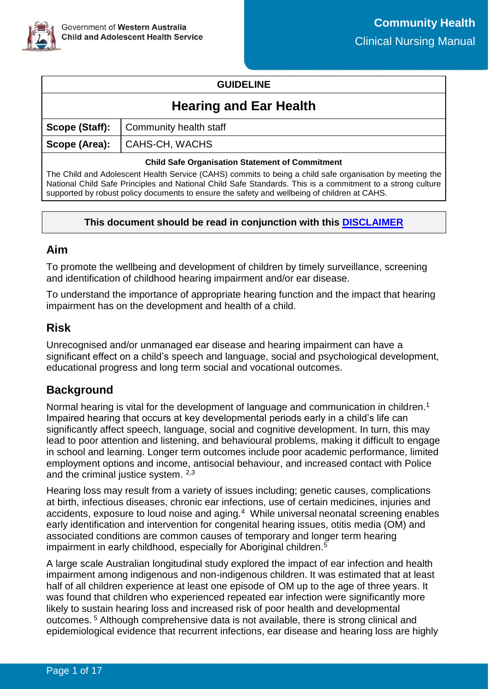

## **GUIDELINE**

# **Hearing and Ear Health**

| <b>Scope (Staff):</b> Community health staff |
|----------------------------------------------|
| Scope (Area): CAHS-CH, WACHS                 |
|                                              |

#### **Child Safe Organisation Statement of Commitment**

The Child and Adolescent Health Service (CAHS) commits to being a child safe organisation by meeting the National Child Safe Principles and National Child Safe Standards. This is a commitment to a strong culture supported by robust policy documents to ensure the safety and wellbeing of children at CAHS.

## **This document should be read in conjunction with this [DISCLAIMER](https://cahs.health.wa.gov.au/For-health-professionals/Resources/CAHS-Clinical-Disclaimer)**

## **Aim**

To promote the wellbeing and development of children by timely surveillance, screening and identification of childhood hearing impairment and/or ear disease.

To understand the importance of appropriate hearing function and the impact that hearing impairment has on the development and health of a child.

# **Risk**

Unrecognised and/or unmanaged ear disease and hearing impairment can have a significant effect on a child's speech and language, social and psychological development, educational progress and long term social and vocational outcomes.

# **Background**

Normal hearing is vital for the development of language and communication in children.<sup>1</sup> Impaired hearing that occurs at key developmental periods early in a child's life can significantly affect speech, language, social and cognitive development. In turn, this may lead to poor attention and listening, and behavioural problems, making it difficult to engage in school and learning. Longer term outcomes include poor academic performance, limited employment options and income, antisocial behaviour, and increased contact with Police and the criminal justice system. 2,3

Hearing loss may result from a variety of issues including; genetic causes, complications at birth, infectious diseases, chronic ear infections, use of certain medicines, injuries and accidents, exposure to loud noise and aging.<sup>4</sup> While universal neonatal screening enables early identification and intervention for congenital hearing issues, otitis media (OM) and associated conditions are common causes of temporary and longer term hearing impairment in early childhood, especially for Aboriginal children.<sup>5</sup>

A large scale Australian longitudinal study explored the impact of ear infection and health impairment among indigenous and non-indigenous children. It was estimated that at least half of all children experience at least one episode of OM up to the age of three years. It was found that children who experienced repeated ear infection were significantly more likely to sustain hearing loss and increased risk of poor health and developmental outcomes. <sup>5</sup> Although comprehensive data is not available, there is strong clinical and epidemiological evidence that recurrent infections, ear disease and hearing loss are highly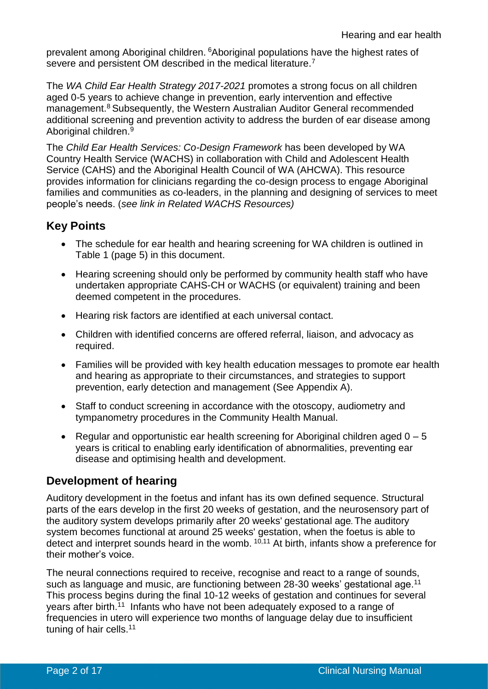prevalent among Aboriginal children. <sup>6</sup>Aboriginal populations have the highest rates of severe and persistent OM described in the medical literature.<sup>7</sup>

The *WA Child Ear Health Strategy 2017-2021* promotes a strong focus on all children aged 0-5 years to achieve change in prevention, early intervention and effective management.<sup>8</sup> Subsequently, the Western Australian Auditor General recommended additional screening and prevention activity to address the burden of ear disease among Aboriginal children.<sup>9</sup>

The *Child Ear Health Services: Co-Design Framework* has been developed by WA Country Health Service (WACHS) in collaboration with Child and Adolescent Health Service (CAHS) and the Aboriginal Health Council of WA (AHCWA). This resource provides information for clinicians regarding the co-design process to engage Aboriginal families and communities as co-leaders, in the planning and designing of services to meet people's needs. (*see link in Related WACHS Resources)*

# **Key Points**

- The schedule for ear health and hearing screening for WA children is outlined in Table 1 (page 5) in this document.
- Hearing screening should only be performed by community health staff who have undertaken appropriate CAHS-CH or WACHS (or equivalent) training and been deemed competent in the procedures.
- Hearing risk factors are identified at each universal contact.
- Children with identified concerns are offered referral, liaison, and advocacy as required.
- Families will be provided with key health education messages to promote ear health and hearing as appropriate to their circumstances, and strategies to support prevention, early detection and management (See Appendix A).
- Staff to conduct screening in accordance with the otoscopy, audiometry and tympanometry procedures in the Community Health Manual.
- Regular and opportunistic ear health screening for Aboriginal children aged  $0 5$ years is critical to enabling early identification of abnormalities, preventing ear disease and optimising health and development.

# **Development of hearing**

Auditory development in the foetus and infant has its own defined sequence. Structural parts of the ears develop in the first 20 weeks of gestation, and the neurosensory part of the auditory system develops primarily after 20 weeks' gestational age. The auditory system becomes functional at around 25 weeks' gestation, when the foetus is able to detect and interpret sounds heard in the womb.  $10,11$  At birth, infants show a preference for their mother's voice.

The neural connections required to receive, recognise and react to a range of sounds, such as language and music, are functioning between 28-30 weeks' gestational age.<sup>11</sup> This process begins during the final 10-12 weeks of gestation and continues for several years after birth.<sup>11</sup> Infants who have not been adequately exposed to a range of frequencies in utero will experience two months of language delay due to insufficient tuning of hair cells.<sup>11</sup>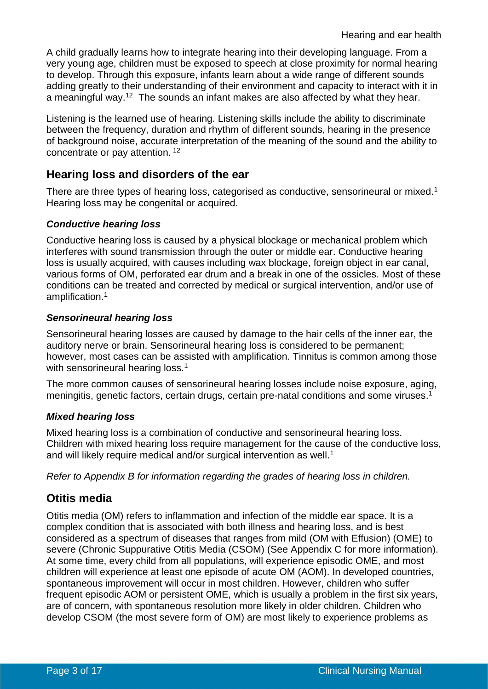A child gradually learns how to integrate hearing into their developing language. From a very young age, children must be exposed to speech at close proximity for normal hearing to develop. Through this exposure, infants learn about a wide range of different sounds adding greatly to their understanding of their environment and capacity to interact with it in a meaningful way.<sup>12</sup> The sounds an infant makes are also affected by what they hear.

Listening is the learned use of hearing. Listening skills include the ability to discriminate between the frequency, duration and rhythm of different sounds, hearing in the presence of background noise, accurate interpretation of the meaning of the sound and the ability to concentrate or pay attention. <sup>12</sup>

# **Hearing loss and disorders of the ear**

There are three types of hearing loss, categorised as conductive, sensorineural or mixed.<sup>1</sup> Hearing loss may be congenital or acquired.

## *Conductive hearing loss*

Conductive hearing loss is caused by a physical blockage or mechanical problem which interferes with sound transmission through the outer or middle ear. Conductive hearing loss is usually acquired, with causes including wax blockage, foreign object in ear canal, various forms of OM, perforated ear drum and a break in one of the ossicles. Most of these conditions can be treated and corrected by medical or surgical intervention, and/or use of amplification. 1

#### *Sensorineural hearing loss*

Sensorineural hearing losses are caused by damage to the hair cells of the inner ear, the auditory nerve or brain. Sensorineural hearing loss is considered to be permanent; however, most cases can be assisted with amplification. Tinnitus is common among those with sensorineural hearing loss.<sup>1</sup>

The more common causes of sensorineural hearing losses include noise exposure, aging, meningitis, genetic factors, certain drugs, certain pre-natal conditions and some viruses. 1

## *Mixed hearing loss*

Mixed hearing loss is a combination of conductive and sensorineural hearing loss. Children with mixed hearing loss require management for the cause of the conductive loss, and will likely require medical and/or surgical intervention as well.<sup>1</sup>

*Refer to Appendix B for information regarding the grades of hearing loss in children.*

# **Otitis media**

Otitis media (OM) refers to inflammation and infection of the middle ear space. It is a complex condition that is associated with both illness and hearing loss, and is best considered as a spectrum of diseases that ranges from mild (OM with Effusion) (OME) to severe (Chronic Suppurative Otitis Media (CSOM) (See Appendix C for more information). At some time, every child from all populations, will experience episodic OME, and most children will experience at least one episode of acute OM (AOM). In developed countries, spontaneous improvement will occur in most children. However, children who suffer frequent episodic AOM or persistent OME, which is usually a problem in the first six years, are of concern, with spontaneous resolution more likely in older children. Children who develop CSOM (the most severe form of OM) are most likely to experience problems as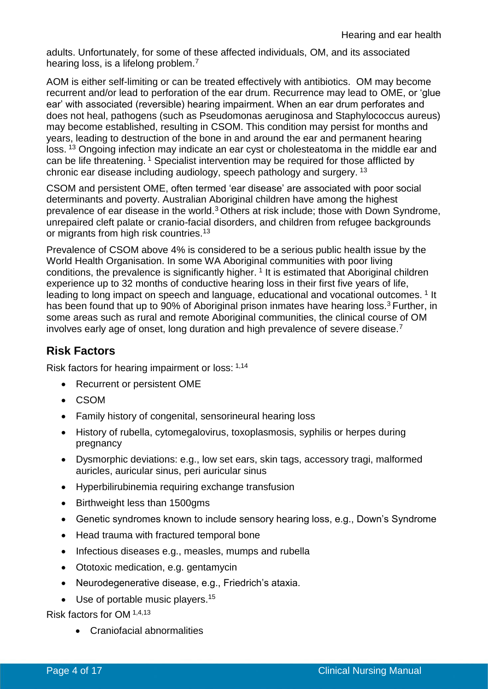adults. Unfortunately, for some of these affected individuals, OM, and its associated hearing loss, is a lifelong problem.<sup>7</sup>

AOM is either self-limiting or can be treated effectively with antibiotics. OM may become recurrent and/or lead to perforation of the ear drum. Recurrence may lead to OME, or 'glue ear' with associated (reversible) hearing impairment. When an ear drum perforates and does not heal, pathogens (such as Pseudomonas aeruginosa and Staphylococcus aureus) may become established, resulting in CSOM. This condition may persist for months and years, leading to destruction of the bone in and around the ear and permanent hearing loss. <sup>13</sup> Ongoing infection may indicate an ear cyst or cholesteatoma in the middle ear and can be life threatening. <sup>1</sup> Specialist intervention may be required for those afflicted by chronic ear disease including audiology, speech pathology and surgery. <sup>13</sup>

CSOM and persistent OME, often termed 'ear disease' are associated with poor social determinants and poverty. Australian Aboriginal children have among the highest prevalence of ear disease in the world.<sup>3</sup> Others at risk include; those with Down Syndrome, unrepaired cleft palate or cranio-facial disorders, and children from refugee backgrounds or migrants from high risk countries.<sup>13</sup>

Prevalence of CSOM above 4% is considered to be a serious public health issue by the World Health Organisation. In some WA Aboriginal communities with poor living conditions, the prevalence is significantly higher.<sup>1</sup> It is estimated that Aboriginal children experience up to 32 months of conductive hearing loss in their first five years of life, leading to long impact on speech and language, educational and vocational outcomes.<sup>1</sup> It has been found that up to 90% of Aboriginal prison inmates have hearing loss.<sup>3</sup> Further, in some areas such as rural and remote Aboriginal communities, the clinical course of OM involves early age of onset, long duration and high prevalence of severe disease.<sup>7</sup>

# **Risk Factors**

Risk factors for hearing impairment or loss: 1,14

- Recurrent or persistent OME
- CSOM
- Family history of congenital, sensorineural hearing loss
- History of rubella, cytomegalovirus, toxoplasmosis, syphilis or herpes during pregnancy
- Dysmorphic deviations: e.g., low set ears, skin tags, accessory tragi, malformed auricles, auricular sinus, peri auricular sinus
- Hyperbilirubinemia requiring exchange transfusion
- Birthweight less than 1500gms
- Genetic syndromes known to include sensory hearing loss, e.g., Down's Syndrome
- Head trauma with fractured temporal bone
- Infectious diseases e.g., measles, mumps and rubella
- Ototoxic medication, e.g. gentamycin
- Neurodegenerative disease, e.g., Friedrich's ataxia.
- Use of portable music players.<sup>15</sup>

Risk factors for OM 1,4,13

• Craniofacial abnormalities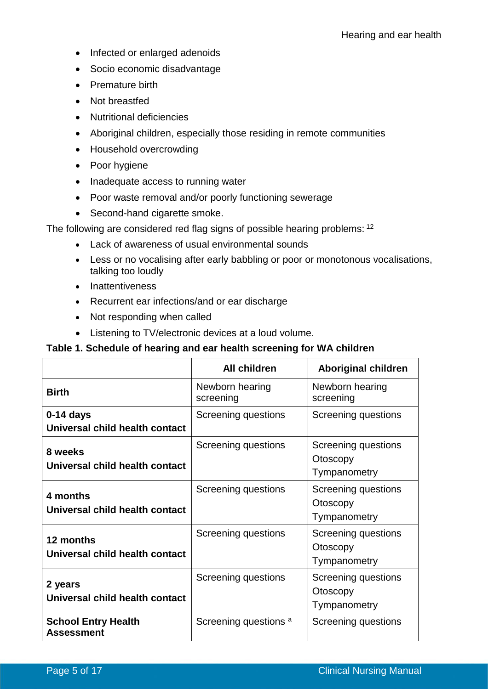- Infected or enlarged adenoids
- Socio economic disadvantage
- Premature birth
- Not breastfed
- Nutritional deficiencies
- Aboriginal children, especially those residing in remote communities
- Household overcrowding
- Poor hygiene
- Inadequate access to running water
- Poor waste removal and/or poorly functioning sewerage
- Second-hand cigarette smoke.

The following are considered red flag signs of possible hearing problems: <sup>12</sup>

- Lack of awareness of usual environmental sounds
- Less or no vocalising after early babbling or poor or monotonous vocalisations, talking too loudly
- Inattentiveness
- Recurrent ear infections/and or ear discharge
- Not responding when called
- Listening to TV/electronic devices at a loud volume.

## **Table 1. Schedule of hearing and ear health screening for WA children**

|                                                 | <b>All children</b>          | <b>Aboriginal children</b>                             |
|-------------------------------------------------|------------------------------|--------------------------------------------------------|
| <b>Birth</b>                                    | Newborn hearing<br>screening | Newborn hearing<br>screening                           |
| $0-14$ days<br>Universal child health contact   | Screening questions          | Screening questions                                    |
| 8 weeks<br>Universal child health contact       | Screening questions          | Screening questions<br>Otoscopy<br>Tympanometry        |
| 4 months<br>Universal child health contact      | Screening questions          | <b>Screening questions</b><br>Otoscopy<br>Tympanometry |
| 12 months<br>Universal child health contact     | Screening questions          | Screening questions<br>Otoscopy<br>Tympanometry        |
| 2 years<br>Universal child health contact       | Screening questions          | Screening questions<br>Otoscopy<br>Tympanometry        |
| <b>School Entry Health</b><br><b>Assessment</b> | Screening questions a        | Screening questions                                    |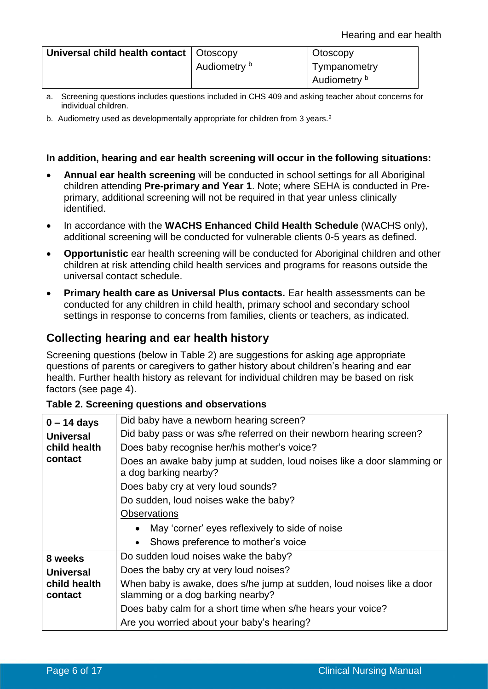| Universal child health contact   Otoscopy |              | Otoscopy     |
|-------------------------------------------|--------------|--------------|
|                                           | Audiometry b | Tympanometry |
|                                           |              | Audiometry b |

- a. Screening questions includes questions included in CHS 409 and asking teacher about concerns for individual children.
- b. Audiometry used as developmentally appropriate for children from 3 years.<sup>2</sup>

#### **In addition, hearing and ear health screening will occur in the following situations:**

- **Annual ear health screening** will be conducted in school settings for all Aboriginal children attending **Pre-primary and Year 1**. Note; where SEHA is conducted in Preprimary, additional screening will not be required in that year unless clinically identified.
- In accordance with the **WACHS Enhanced Child Health Schedule** (WACHS only), additional screening will be conducted for vulnerable clients 0-5 years as defined.
- **Opportunistic** ear health screening will be conducted for Aboriginal children and other children at risk attending child health services and programs for reasons outside the universal contact schedule.
- **Primary health care as Universal Plus contacts.** Ear health assessments can be conducted for any children in child health, primary school and secondary school settings in response to concerns from families, clients or teachers, as indicated.

# **Collecting hearing and ear health history**

Screening questions (below in Table 2) are suggestions for asking age appropriate questions of parents or caregivers to gather history about children's hearing and ear health. Further health history as relevant for individual children may be based on risk factors (see page 4).

#### **Table 2. Screening questions and observations**

| $0 - 14$ days           | Did baby have a newborn hearing screen?                                                                    |  |  |  |
|-------------------------|------------------------------------------------------------------------------------------------------------|--|--|--|
| <b>Universal</b>        | Did baby pass or was s/he referred on their newborn hearing screen?                                        |  |  |  |
| child health            | Does baby recognise her/his mother's voice?                                                                |  |  |  |
| contact                 | Does an awake baby jump at sudden, loud noises like a door slamming or<br>a dog barking nearby?            |  |  |  |
|                         | Does baby cry at very loud sounds?                                                                         |  |  |  |
|                         | Do sudden, loud noises wake the baby?                                                                      |  |  |  |
|                         | <b>Observations</b>                                                                                        |  |  |  |
|                         | May 'corner' eyes reflexively to side of noise<br>$\bullet$                                                |  |  |  |
|                         | Shows preference to mother's voice<br>$\bullet$                                                            |  |  |  |
| 8 weeks                 | Do sudden loud noises wake the baby?                                                                       |  |  |  |
| Universal               | Does the baby cry at very loud noises?                                                                     |  |  |  |
| child health<br>contact | When baby is awake, does s/he jump at sudden, loud noises like a door<br>slamming or a dog barking nearby? |  |  |  |
|                         | Does baby calm for a short time when s/he hears your voice?                                                |  |  |  |
|                         | Are you worried about your baby's hearing?                                                                 |  |  |  |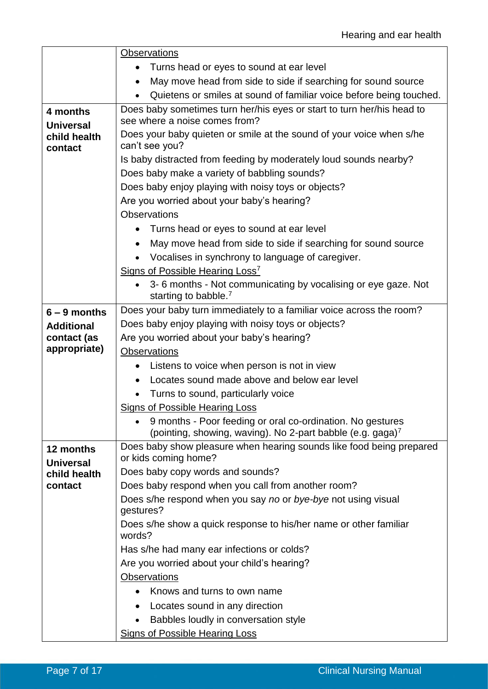|                              | <b>Observations</b>                                                                                                                  |  |  |  |
|------------------------------|--------------------------------------------------------------------------------------------------------------------------------------|--|--|--|
|                              | Turns head or eyes to sound at ear level                                                                                             |  |  |  |
|                              | May move head from side to side if searching for sound source<br>$\bullet$                                                           |  |  |  |
|                              | Quietens or smiles at sound of familiar voice before being touched.                                                                  |  |  |  |
| 4 months<br><b>Universal</b> | Does baby sometimes turn her/his eyes or start to turn her/his head to<br>see where a noise comes from?                              |  |  |  |
| child health<br>contact      | Does your baby quieten or smile at the sound of your voice when s/he<br>can't see you?                                               |  |  |  |
|                              | Is baby distracted from feeding by moderately loud sounds nearby?                                                                    |  |  |  |
|                              | Does baby make a variety of babbling sounds?                                                                                         |  |  |  |
|                              | Does baby enjoy playing with noisy toys or objects?                                                                                  |  |  |  |
|                              | Are you worried about your baby's hearing?                                                                                           |  |  |  |
|                              | <b>Observations</b>                                                                                                                  |  |  |  |
|                              | Turns head or eyes to sound at ear level                                                                                             |  |  |  |
|                              | May move head from side to side if searching for sound source                                                                        |  |  |  |
|                              | Vocalises in synchrony to language of caregiver.                                                                                     |  |  |  |
|                              | Signs of Possible Hearing Loss <sup>7</sup>                                                                                          |  |  |  |
|                              | 3-6 months - Not communicating by vocalising or eye gaze. Not                                                                        |  |  |  |
|                              | starting to babble. <sup>7</sup>                                                                                                     |  |  |  |
| $6 - 9$ months               | Does your baby turn immediately to a familiar voice across the room?                                                                 |  |  |  |
| <b>Additional</b>            | Does baby enjoy playing with noisy toys or objects?                                                                                  |  |  |  |
| contact (as                  | Are you worried about your baby's hearing?                                                                                           |  |  |  |
| appropriate)                 | <b>Observations</b>                                                                                                                  |  |  |  |
|                              | Listens to voice when person is not in view                                                                                          |  |  |  |
|                              | Locates sound made above and below ear level                                                                                         |  |  |  |
|                              | Turns to sound, particularly voice                                                                                                   |  |  |  |
|                              | Signs of Possible Hearing Loss                                                                                                       |  |  |  |
|                              | 9 months - Poor feeding or oral co-ordination. No gestures<br>(pointing, showing, waving). No 2-part babble (e.g. gaga) <sup>7</sup> |  |  |  |
| 12 months                    | Does baby show pleasure when hearing sounds like food being prepared                                                                 |  |  |  |
| <b>Universal</b>             | or kids coming home?                                                                                                                 |  |  |  |
| child health                 | Does baby copy words and sounds?                                                                                                     |  |  |  |
| contact                      | Does baby respond when you call from another room?                                                                                   |  |  |  |
|                              | Does s/he respond when you say no or bye-bye not using visual<br>gestures?                                                           |  |  |  |
|                              | Does s/he show a quick response to his/her name or other familiar<br>words?                                                          |  |  |  |
|                              | Has s/he had many ear infections or colds?                                                                                           |  |  |  |
|                              | Are you worried about your child's hearing?                                                                                          |  |  |  |
|                              | <b>Observations</b>                                                                                                                  |  |  |  |
|                              | Knows and turns to own name                                                                                                          |  |  |  |
|                              | Locates sound in any direction                                                                                                       |  |  |  |
|                              | Babbles loudly in conversation style                                                                                                 |  |  |  |
|                              | <b>Signs of Possible Hearing Loss</b>                                                                                                |  |  |  |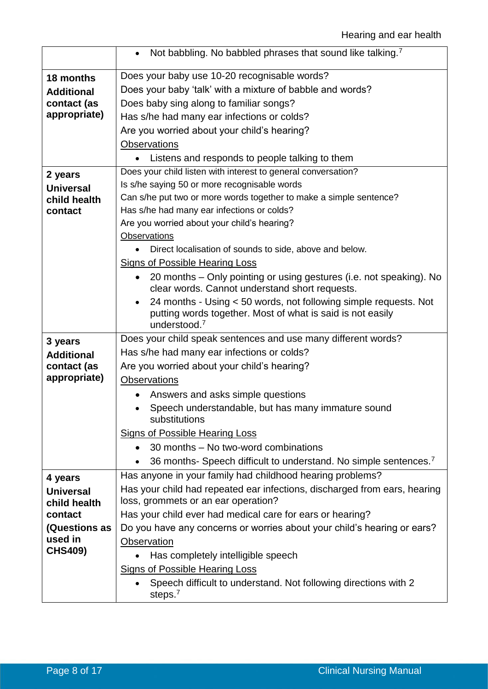|                                  | Not babbling. No babbled phrases that sound like talking. <sup>7</sup><br>$\bullet$                              |  |  |  |
|----------------------------------|------------------------------------------------------------------------------------------------------------------|--|--|--|
| 18 months                        | Does your baby use 10-20 recognisable words?                                                                     |  |  |  |
| <b>Additional</b>                | Does your baby 'talk' with a mixture of babble and words?                                                        |  |  |  |
| contact (as                      | Does baby sing along to familiar songs?                                                                          |  |  |  |
| appropriate)                     | Has s/he had many ear infections or colds?                                                                       |  |  |  |
|                                  | Are you worried about your child's hearing?                                                                      |  |  |  |
|                                  | <b>Observations</b>                                                                                              |  |  |  |
|                                  | Listens and responds to people talking to them                                                                   |  |  |  |
|                                  | Does your child listen with interest to general conversation?                                                    |  |  |  |
| 2 years                          | Is s/he saying 50 or more recognisable words                                                                     |  |  |  |
| <b>Universal</b>                 | Can s/he put two or more words together to make a simple sentence?                                               |  |  |  |
| child health<br>contact          | Has s/he had many ear infections or colds?                                                                       |  |  |  |
|                                  | Are you worried about your child's hearing?                                                                      |  |  |  |
|                                  | Observations                                                                                                     |  |  |  |
|                                  | Direct localisation of sounds to side, above and below.                                                          |  |  |  |
|                                  | <b>Signs of Possible Hearing Loss</b>                                                                            |  |  |  |
|                                  | 20 months – Only pointing or using gestures (i.e. not speaking). No                                              |  |  |  |
|                                  | clear words. Cannot understand short requests.                                                                   |  |  |  |
|                                  | 24 months - Using < 50 words, not following simple requests. Not                                                 |  |  |  |
|                                  | putting words together. Most of what is said is not easily                                                       |  |  |  |
|                                  | understood. $7$                                                                                                  |  |  |  |
| 3 years                          | Does your child speak sentences and use many different words?                                                    |  |  |  |
| <b>Additional</b>                | Has s/he had many ear infections or colds?                                                                       |  |  |  |
| contact (as                      | Are you worried about your child's hearing?                                                                      |  |  |  |
| appropriate)                     | <b>Observations</b>                                                                                              |  |  |  |
|                                  | Answers and asks simple questions                                                                                |  |  |  |
|                                  | Speech understandable, but has many immature sound<br>substitutions                                              |  |  |  |
|                                  | <b>Signs of Possible Hearing Loss</b>                                                                            |  |  |  |
|                                  | 30 months – No two-word combinations                                                                             |  |  |  |
|                                  |                                                                                                                  |  |  |  |
|                                  | 36 months- Speech difficult to understand. No simple sentences. <sup>7</sup><br>$\bullet$                        |  |  |  |
| 4 years                          | Has anyone in your family had childhood hearing problems?                                                        |  |  |  |
| <b>Universal</b><br>child health | Has your child had repeated ear infections, discharged from ears, hearing<br>loss, grommets or an ear operation? |  |  |  |
| contact                          | Has your child ever had medical care for ears or hearing?                                                        |  |  |  |
| <b>(Questions as</b>             | Do you have any concerns or worries about your child's hearing or ears?                                          |  |  |  |
| used in                          | Observation                                                                                                      |  |  |  |
| <b>CHS409)</b>                   | Has completely intelligible speech                                                                               |  |  |  |
|                                  | <b>Signs of Possible Hearing Loss</b>                                                                            |  |  |  |
|                                  | Speech difficult to understand. Not following directions with 2                                                  |  |  |  |
|                                  | steps. $7$                                                                                                       |  |  |  |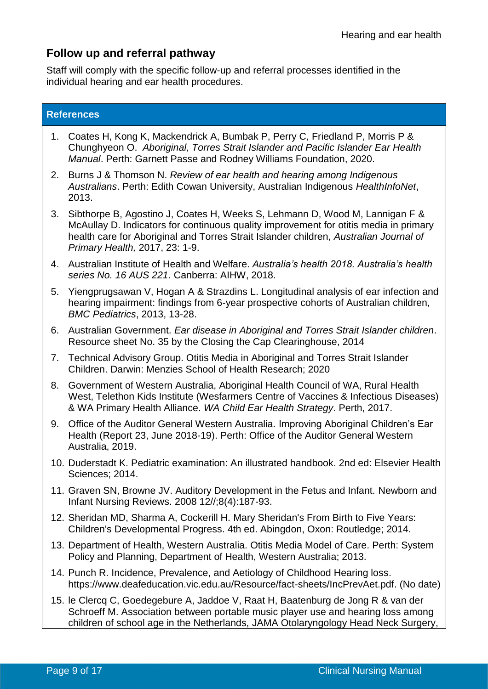# **Follow up and referral pathway**

Staff will comply with the specific follow-up and referral processes identified in the individual hearing and ear health procedures.

### **References**

- 1. Coates H, Kong K, Mackendrick A, Bumbak P, Perry C, Friedland P, Morris P & Chunghyeon O. *Aboriginal, Torres Strait Islander and Pacific Islander Ear Health Manual*. Perth: Garnett Passe and Rodney Williams Foundation, 2020.
- 2. Burns J & Thomson N. *Review of ear health and hearing among Indigenous Australians*. Perth: Edith Cowan University, Australian Indigenous *HealthInfoNet*, 2013.
- 3. Sibthorpe B, Agostino J, Coates H, Weeks S, Lehmann D, Wood M, Lannigan F & McAullay D. Indicators for continuous quality improvement for otitis media in primary health care for Aboriginal and Torres Strait Islander children, *Australian Journal of Primary Health,* 2017, 23: 1-9.
- 4. Australian Institute of Health and Welfare. *Australia's health 2018. Australia's health series No. 16 AUS 221*. Canberra: AIHW, 2018.
- 5. Yiengprugsawan V, Hogan A & Strazdins L. Longitudinal analysis of ear infection and hearing impairment: findings from 6-year prospective cohorts of Australian children, *BMC Pediatrics*, 2013, 13-28.
- 6. Australian Government. *Ear disease in Aboriginal and Torres Strait Islander children*. Resource sheet No. 35 by the Closing the Cap Clearinghouse, 2014
- 7. Technical Advisory Group. Otitis Media in Aboriginal and Torres Strait Islander Children. Darwin: Menzies School of Health Research; 2020
- 8. Government of Western Australia, Aboriginal Health Council of WA, Rural Health West, Telethon Kids Institute (Wesfarmers Centre of Vaccines & Infectious Diseases) & WA Primary Health Alliance. *WA Child Ear Health Strategy*. Perth, 2017.
- 9. Office of the Auditor General Western Australia. Improving Aboriginal Children's Ear Health (Report 23, June 2018-19). Perth: Office of the Auditor General Western Australia, 2019.
- 10. Duderstadt K. Pediatric examination: An illustrated handbook. 2nd ed: Elsevier Health Sciences; 2014.
- 11. Graven SN, Browne JV. Auditory Development in the Fetus and Infant. Newborn and Infant Nursing Reviews. 2008 12//;8(4):187-93.
- 12. Sheridan MD, Sharma A, Cockerill H. Mary Sheridan's From Birth to Five Years: Children's Developmental Progress. 4th ed. Abingdon, Oxon: Routledge; 2014.
- 13. Department of Health, Western Australia. Otitis Media Model of Care. Perth: System Policy and Planning, Department of Health, Western Australia; 2013.
- 14. Punch R. Incidence, Prevalence, and Aetiology of Childhood Hearing loss. [https://www.deafeducation.vic.edu.au/Resource/fact-sheets/IncPrevAet.pdf.](https://www.deafeducation.vic.edu.au/Resource/fact-sheets/IncPrevAet.pdf) (No date)
- 15. le Clercq C, Goedegebure A, Jaddoe V, Raat H, Baatenburg de Jong R & van der Schroeff M. Association between portable music player use and hearing loss among children of school age in the Netherlands, JAMA Otolaryngology Head Neck Surgery,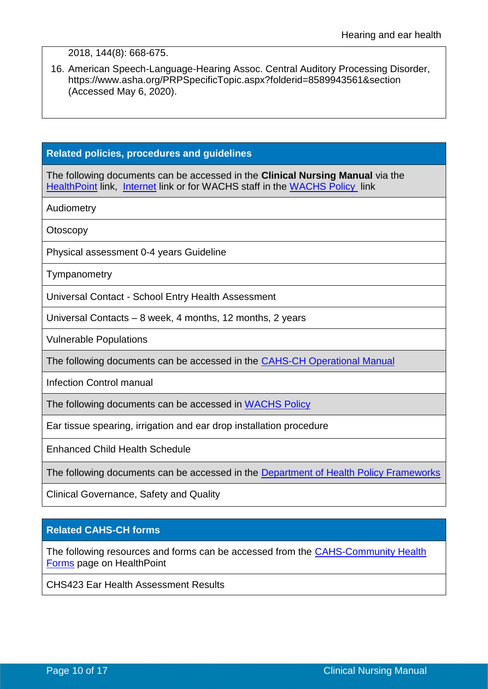#### 2018, 144(8): 668-675.

16. American Speech-Language-Hearing Assoc. Central Auditory Processing Disorder, [https://www.asha.org/PRPSpecificTopic.aspx?folderid=8589943561&section](https://www.asha.org/PRPSpecificTopic.aspx?folderid=8589943561§ion) (Accessed May 6, 2020).

#### **Related policies, procedures and guidelines**

The following documents can be accessed in the **Clinical Nursing Manual** via the [HealthPoint](https://healthpoint.hdwa.health.wa.gov.au/policies/Pages/CACH-Community-Health.aspx) link, [Internet](https://ww2.health.wa.gov.au/About-us/Child-and-Adolescent-Health-Service/Child-and-Adolescent-Community-Health/Professional-resources/Community-Health-Clinical-Nursing-Manual) link or for WACHS staff in the [WACHS Policy](https://healthpoint.hdwa.health.wa.gov.au/policies/Pages/WACHS%20Policy%20Pages/WACHS-Policies.aspx) link

Audiometry

**Otoscopy** 

Physical assessment 0-4 years Guideline

**Tympanometry** 

Universal Contact - [School Entry Health Assessment](http://cahs.hdwa.health.wa.gov.au/__data/assets/pdf_file/0009/137385/4.4.2_School_Entry_Health_Assessment.pdf)

Universal Contacts – 8 week, 4 months, 12 months, 2 years

Vulnerable Populations

The following documents can be accessed in the CAHS-CH [Operational Manual](https://healthpoint.hdwa.health.wa.gov.au/policies/Pages/CACH-Operational-Policies.aspx)

Infection Control manual

The following documents can be accessed in [WACHS Policy](https://healthpoint.hdwa.health.wa.gov.au/policies/Pages/WACHS%20Policy%20Pages/WACHS-Policies.aspx) 

Ear tissue spearing, irrigation and ear drop installation procedure

Enhanced Child Health Schedule

The following documents can be accessed in the [Department of Health Policy Frameworks](https://ww2.health.wa.gov.au/About-us/Policy-Frameworks)

Clinical Governance, Safety and Quality

## **Related CAHS-CH forms**

The following resources and forms can be accessed from the [CAHS-Community Health](https://cahs-healthpoint.hdwa.health.wa.gov.au/cach/forms/Pages/default.aspx)  [Forms](https://cahs-healthpoint.hdwa.health.wa.gov.au/cach/forms/Pages/default.aspx) page on HealthPoint

CHS423 Ear Health Assessment Results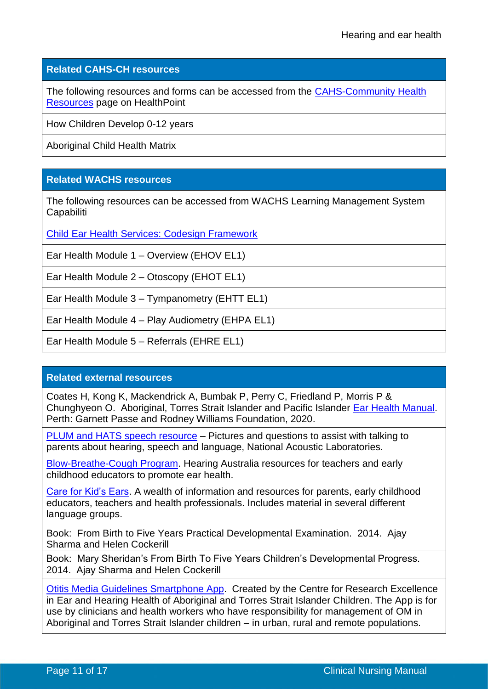#### **Related CAHS-CH resources**

The following resources and forms can be accessed from the [CAHS-Community Health](https://cahs-healthpoint.hdwa.health.wa.gov.au/cach/resources/Pages/default.aspx)  [Resources](https://cahs-healthpoint.hdwa.health.wa.gov.au/cach/resources/Pages/default.aspx) page on HealthPoint

How Children Develop 0-12 years

Aboriginal Child Health Matrix

## **Related WACHS resources**

The following resources can be accessed from WACHS Learning Management System **Capabiliti** 

[Child Ear Health Services: Codesign Framework](https://wacountry.health.wa.gov.au/~/media/WACHS/Documents/About-us/Publications/Child-ear-health-services-Co-design-Framework.PDF) 

Ear Health Module 1 – Overview (EHOV EL1)

Ear Health Module 2 – Otoscopy (EHOT EL1)

Ear Health Module 3 – Tympanometry (EHTT EL1)

Ear Health Module 4 – Play Audiometry (EHPA EL1)

Ear Health Module 5 – Referrals (EHRE EL1)

#### **Related external resources**

Coates H, Kong K, Mackendrick A, Bumbak P, Perry C, Friedland P, Morris P & Chunghyeon O. Aboriginal, Torres Strait Islander and Pacific Islander [Ear Health Manual.](https://gprwmf.org.au/wp-content/uploads/2019_Fourth-Edition-of-the-Aboriginal-Torres-Strait-Islander-and-Pacific-Islander-Ear-Health-Manual.pdf) Perth: Garnett Passe and Rodney Williams Foundation, 2020.

[PLUM and HATS speech resource](https://www.hearhappy.nal.gov.au/training-resources) – Pictures and questions to assist with talking to parents about hearing, speech and language, National Acoustic Laboratories.

[Blow-Breathe-Cough Program.](https://www.hearing.com.au/Hearing-loss/Children-young-adults/Blow-Breathe-Cough) Hearing Australia resources for teachers and early childhood educators to promote ear health.

[Care for Kid's Ears.](http://www.careforkidsears.health.gov.au/internet/cfke/publishing.nsf) A wealth of information and resources for parents, early childhood educators, teachers and health professionals. Includes material in several different language groups.

Book: From Birth to Five Years Practical Developmental Examination. 2014. Ajay Sharma and Helen Cockerill

Book: Mary Sheridan's From Birth To Five Years Children's Developmental Progress. 2014. Ajay Sharma and Helen Cockerill

[Otitis Media Guidelines Smartphone App.](https://www.earandhearinghealth.org.au/projects/om-tag-app) Created by the Centre for Research Excellence in Ear and Hearing Health of Aboriginal and Torres Strait Islander Children. The App is for use by clinicians and health workers who have responsibility for management of OM in Aboriginal and Torres Strait Islander children – in urban, rural and remote populations.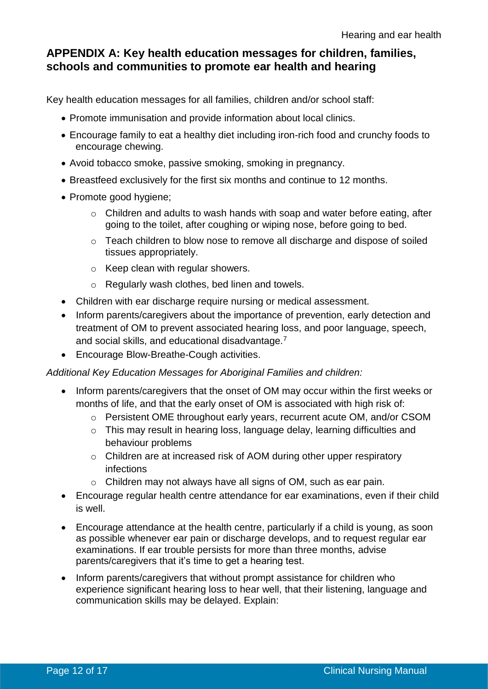# **APPENDIX A: Key health education messages for children, families, schools and communities to promote ear health and hearing**

Key health education messages for all families, children and/or school staff:

- Promote immunisation and provide information about local clinics.
- Encourage family to eat a healthy diet including iron-rich food and crunchy foods to encourage chewing.
- Avoid tobacco smoke, passive smoking, smoking in pregnancy.
- Breastfeed exclusively for the first six months and continue to 12 months.
- Promote good hygiene;
	- o Children and adults to wash hands with soap and water before eating, after going to the toilet, after coughing or wiping nose, before going to bed.
	- o Teach children to blow nose to remove all discharge and dispose of soiled tissues appropriately.
	- o Keep clean with regular showers.
	- o Regularly wash clothes, bed linen and towels.
- Children with ear discharge require nursing or medical assessment.
- Inform parents/caregivers about the importance of prevention, early detection and treatment of OM to prevent associated hearing loss, and poor language, speech, and social skills, and educational disadvantage.<sup>7</sup>
- Encourage Blow-Breathe-Cough activities.

## *Additional Key Education Messages for Aboriginal Families and children:*

- Inform parents/caregivers that the onset of OM may occur within the first weeks or months of life, and that the early onset of OM is associated with high risk of:
	- o Persistent OME throughout early years, recurrent acute OM, and/or CSOM
	- o This may result in hearing loss, language delay, learning difficulties and behaviour problems
	- o Children are at increased risk of AOM during other upper respiratory infections
	- o Children may not always have all signs of OM, such as ear pain.
- Encourage regular health centre attendance for ear examinations, even if their child is well.
- Encourage attendance at the health centre, particularly if a child is young, as soon as possible whenever ear pain or discharge develops, and to request regular ear examinations. If ear trouble persists for more than three months, advise parents/caregivers that it's time to get a hearing test.
- Inform parents/caregivers that without prompt assistance for children who experience significant hearing loss to hear well, that their listening, language and communication skills may be delayed. Explain: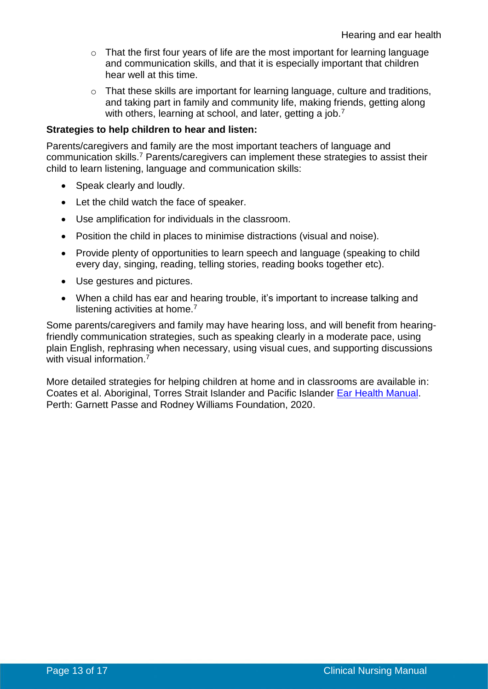- o That the first four years of life are the most important for learning language and communication skills, and that it is especially important that children hear well at this time.
- o That these skills are important for learning language, culture and traditions, and taking part in family and community life, making friends, getting along with others, learning at school, and later, getting a job.<sup>7</sup>

#### **Strategies to help children to hear and listen:**

Parents/caregivers and family are the most important teachers of language and communication skills.<sup>7</sup> Parents/caregivers can implement these strategies to assist their child to learn listening, language and communication skills:

- Speak clearly and loudly.
- Let the child watch the face of speaker.
- Use amplification for individuals in the classroom.
- Position the child in places to minimise distractions (visual and noise).
- Provide plenty of opportunities to learn speech and language (speaking to child every day, singing, reading, telling stories, reading books together etc).
- Use gestures and pictures.
- When a child has ear and hearing trouble, it's important to increase talking and listening activities at home.<sup>7</sup>

Some parents/caregivers and family may have hearing loss, and will benefit from hearingfriendly communication strategies, such as speaking clearly in a moderate pace, using plain English, rephrasing when necessary, using visual cues, and supporting discussions with visual information.<sup>7</sup>

More detailed strategies for helping children at home and in classrooms are available in: Coates et al. Aboriginal, Torres Strait Islander and Pacific Islander [Ear Health Manual.](https://gprwmf.org.au/wp-content/uploads/2019_Fourth-Edition-of-the-Aboriginal-Torres-Strait-Islander-and-Pacific-Islander-Ear-Health-Manual.pdf) Perth: Garnett Passe and Rodney Williams Foundation, 2020.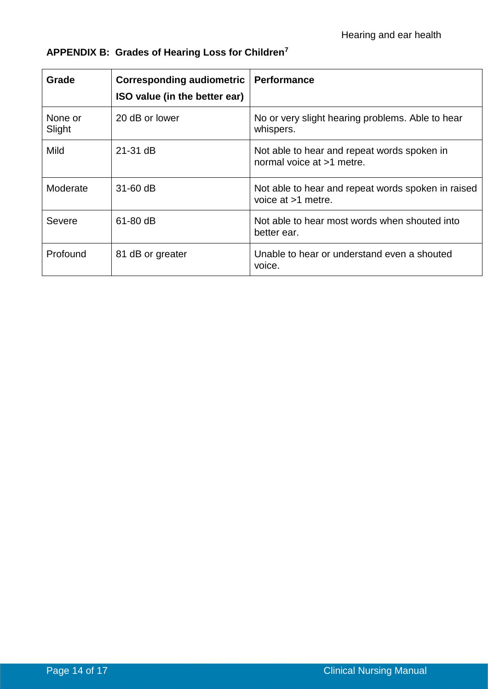| Grade             | <b>Corresponding audiometric</b><br>ISO value (in the better ear) | Performance                                                              |
|-------------------|-------------------------------------------------------------------|--------------------------------------------------------------------------|
| None or<br>Slight | 20 dB or lower                                                    | No or very slight hearing problems. Able to hear<br>whispers.            |
| <b>Mild</b>       | 21-31 dB                                                          | Not able to hear and repeat words spoken in<br>normal voice at >1 metre. |
| Moderate          | $31-60$ dB                                                        | Not able to hear and repeat words spoken in raised<br>voice at >1 metre. |
| Severe            | 61-80 dB                                                          | Not able to hear most words when shouted into<br>better ear.             |
| Profound          | 81 dB or greater                                                  | Unable to hear or understand even a shouted<br>voice.                    |

# **APPENDIX B: Grades of Hearing Loss for Children<sup>7</sup>**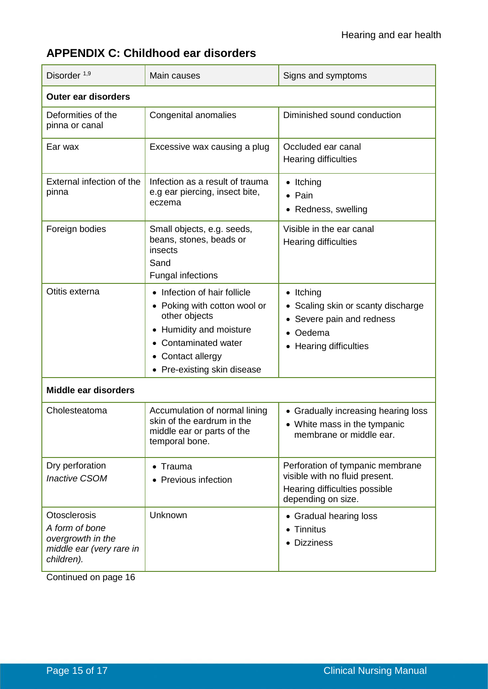# **APPENDIX C: Childhood ear disorders**

| Disorder <sup>1,9</sup>                                                                              | Main causes                                                                                                                                                                               | Signs and symptoms                                                                                                                     |  |  |  |
|------------------------------------------------------------------------------------------------------|-------------------------------------------------------------------------------------------------------------------------------------------------------------------------------------------|----------------------------------------------------------------------------------------------------------------------------------------|--|--|--|
| <b>Outer ear disorders</b>                                                                           |                                                                                                                                                                                           |                                                                                                                                        |  |  |  |
| Deformities of the<br>pinna or canal                                                                 | Congenital anomalies                                                                                                                                                                      | Diminished sound conduction                                                                                                            |  |  |  |
| Ear wax                                                                                              | Excessive wax causing a plug                                                                                                                                                              | Occluded ear canal<br><b>Hearing difficulties</b>                                                                                      |  |  |  |
| External infection of the<br>pinna                                                                   | Infection as a result of trauma<br>e.g ear piercing, insect bite,<br>eczema                                                                                                               | $\bullet$ Itching<br>• Pain<br>• Redness, swelling                                                                                     |  |  |  |
| Foreign bodies                                                                                       | Small objects, e.g. seeds,<br>beans, stones, beads or<br>insects<br>Sand<br><b>Fungal infections</b>                                                                                      | Visible in the ear canal<br><b>Hearing difficulties</b>                                                                                |  |  |  |
| Otitis externa                                                                                       | • Infection of hair follicle<br>• Poking with cotton wool or<br>other objects<br>• Humidity and moisture<br><b>Contaminated water</b><br>• Contact allergy<br>• Pre-existing skin disease | $\bullet$ Itching<br>Scaling skin or scanty discharge<br>Severe pain and redness<br>Oedema<br>$\bullet$<br><b>Hearing difficulties</b> |  |  |  |
| <b>Middle ear disorders</b>                                                                          |                                                                                                                                                                                           |                                                                                                                                        |  |  |  |
| Cholesteatoma                                                                                        | Accumulation of normal lining<br>skin of the eardrum in the<br>middle ear or parts of the<br>temporal bone.                                                                               | • Gradually increasing hearing loss<br>• White mass in the tympanic<br>membrane or middle ear.                                         |  |  |  |
| Dry perforation<br><b>Inactive CSOM</b>                                                              | Trauma<br><b>Previous infection</b>                                                                                                                                                       | Perforation of tympanic membrane<br>visible with no fluid present.<br>Hearing difficulties possible<br>depending on size.              |  |  |  |
| <b>Otosclerosis</b><br>A form of bone<br>overgrowth in the<br>middle ear (very rare in<br>children). | Unknown                                                                                                                                                                                   | • Gradual hearing loss<br>• Tinnitus<br>• Dizziness                                                                                    |  |  |  |

Continued on page 16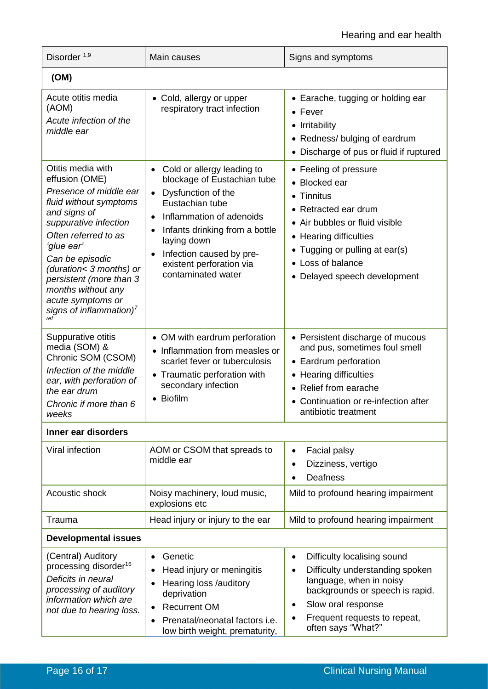# Hearing and ear health

| Disorder <sup>1,9</sup>                                                                                                                                                                                                                                                                                                                  | Main causes                                                                                                                                                                                                                                                                                            | Signs and symptoms                                                                                                                                                                                                                      |  |  |
|------------------------------------------------------------------------------------------------------------------------------------------------------------------------------------------------------------------------------------------------------------------------------------------------------------------------------------------|--------------------------------------------------------------------------------------------------------------------------------------------------------------------------------------------------------------------------------------------------------------------------------------------------------|-----------------------------------------------------------------------------------------------------------------------------------------------------------------------------------------------------------------------------------------|--|--|
| (OM)                                                                                                                                                                                                                                                                                                                                     |                                                                                                                                                                                                                                                                                                        |                                                                                                                                                                                                                                         |  |  |
| Acute otitis media<br>(AOM)<br>Acute infection of the<br>middle ear                                                                                                                                                                                                                                                                      | • Cold, allergy or upper<br>respiratory tract infection                                                                                                                                                                                                                                                | • Earache, tugging or holding ear<br>$\bullet$ Fever<br>• Irritability<br>• Redness/ bulging of eardrum<br>• Discharge of pus or fluid if ruptured                                                                                      |  |  |
| Otitis media with<br>effusion (OME)<br>Presence of middle ear<br>fluid without symptoms<br>and signs of<br>suppurative infection<br>Often referred to as<br>'glue ear'<br>Can be episodic<br>(duration< 3 months) or<br>persistent (more than 3<br>months without any<br>acute symptoms or<br>signs of inflammation) <sup>7</sup><br>ref | Cold or allergy leading to<br>٠<br>blockage of Eustachian tube<br>Dysfunction of the<br>$\bullet$<br>Eustachian tube<br>Inflammation of adenoids<br>$\bullet$<br>Infants drinking from a bottle<br>٠<br>laying down<br>Infection caused by pre-<br>٠<br>existent perforation via<br>contaminated water | • Feeling of pressure<br>• Blocked ear<br>• Tinnitus<br>• Retracted ear drum<br>• Air bubbles or fluid visible<br>• Hearing difficulties<br>• Tugging or pulling at ear(s)<br>• Loss of balance<br>• Delayed speech development         |  |  |
| Suppurative otitis<br>media (SOM) &<br>Chronic SOM (CSOM)<br>Infection of the middle<br>ear, with perforation of<br>the ear drum<br>Chronic if more than 6<br>weeks                                                                                                                                                                      | • OM with eardrum perforation<br>Inflammation from measles or<br>$\bullet$<br>scarlet fever or tuberculosis<br>Traumatic perforation with<br>$\bullet$<br>secondary infection<br>• Biofilm                                                                                                             | • Persistent discharge of mucous<br>and pus, sometimes foul smell<br>• Eardrum perforation<br>• Hearing difficulties<br>• Relief from earache<br>• Continuation or re-infection after<br>antibiotic treatment                           |  |  |
| Inner ear disorders                                                                                                                                                                                                                                                                                                                      |                                                                                                                                                                                                                                                                                                        |                                                                                                                                                                                                                                         |  |  |
| Viral infection                                                                                                                                                                                                                                                                                                                          | AOM or CSOM that spreads to<br>middle ear                                                                                                                                                                                                                                                              | Facial palsy<br>$\bullet$<br>Dizziness, vertigo<br>$\bullet$<br><b>Deafness</b>                                                                                                                                                         |  |  |
| Acoustic shock                                                                                                                                                                                                                                                                                                                           | Noisy machinery, loud music,<br>explosions etc                                                                                                                                                                                                                                                         | Mild to profound hearing impairment                                                                                                                                                                                                     |  |  |
| Trauma                                                                                                                                                                                                                                                                                                                                   | Head injury or injury to the ear                                                                                                                                                                                                                                                                       | Mild to profound hearing impairment                                                                                                                                                                                                     |  |  |
| <b>Developmental issues</b>                                                                                                                                                                                                                                                                                                              |                                                                                                                                                                                                                                                                                                        |                                                                                                                                                                                                                                         |  |  |
| (Central) Auditory<br>processing disorder <sup>16</sup><br>Deficits in neural<br>processing of auditory<br>information which are<br>not due to hearing loss.                                                                                                                                                                             | Genetic<br>$\bullet$<br>Head injury or meningitis<br>٠<br>Hearing loss /auditory<br>٠<br>deprivation<br><b>Recurrent OM</b><br>$\bullet$<br>Prenatal/neonatal factors i.e.<br>$\bullet$<br>low birth weight, prematurity,                                                                              | Difficulty localising sound<br>$\bullet$<br>Difficulty understanding spoken<br>$\bullet$<br>language, when in noisy<br>backgrounds or speech is rapid.<br>Slow oral response<br>٠<br>Frequent requests to repeat,<br>often says "What?" |  |  |